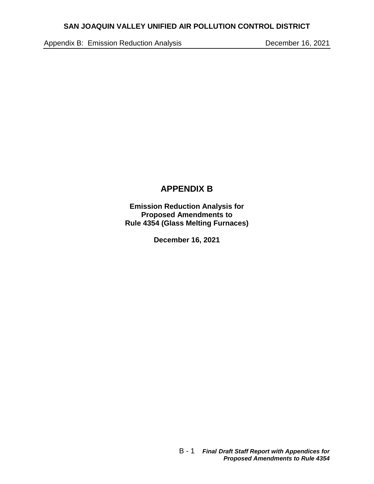Appendix B: Emission Reduction Analysis **December 16, 2021** 

# **APPENDIX B**

**Emission Reduction Analysis for Proposed Amendments to Rule 4354 (Glass Melting Furnaces)** 

**December 16, 2021**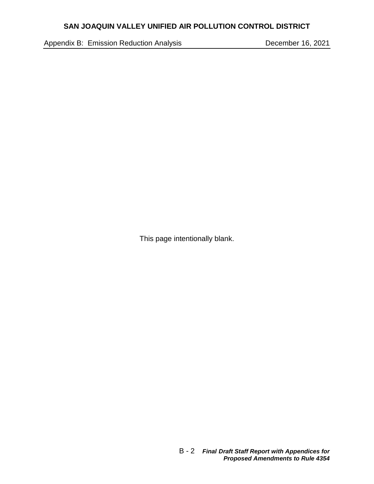Appendix B: Emission Reduction Analysis **December 16, 2021** 

This page intentionally blank.

B - 2 *Final Draft Staff Report with Appendices for Proposed Amendments to Rule 4354*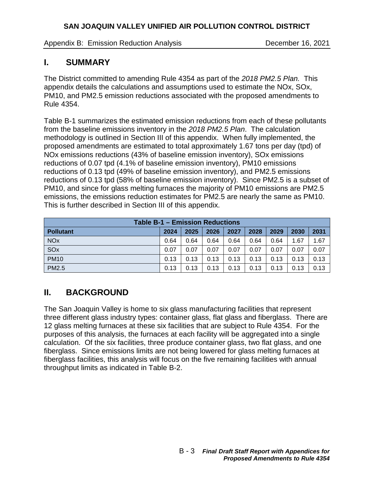Appendix B: Emission Reduction Analysis **December 16, 2021** 

## **I. SUMMARY**

The District committed to amending Rule 4354 as part of the *2018 PM2.5 Plan.* This appendix details the calculations and assumptions used to estimate the NOx, SOx, PM10, and PM2.5 emission reductions associated with the proposed amendments to Rule 4354.

[Table](#page-2-0) B-1 summarizes the estimated emission reductions from each of these pollutants from the baseline emissions inventory in the *2018 PM2.5 Plan*. The calculation methodology is outlined in Section [III](#page-3-0) of this appendix. When fully implemented, the proposed amendments are estimated to total approximately 1.67 tons per day (tpd) of NOx emissions reductions (43% of baseline emission inventory), SOx emissions reductions of 0.07 tpd (4.1% of baseline emission inventory), PM10 emissions reductions of 0.13 tpd (49% of baseline emission inventory), and PM2.5 emissions reductions of 0.13 tpd (58% of baseline emission inventory). Since PM2.5 is a subset of PM10, and since for glass melting furnaces the majority of PM10 emissions are PM2.5 emissions, the emissions reduction estimates for PM2.5 are nearly the same as PM10. This is further described in Section III of this appendix.

<span id="page-2-0"></span>

| <b>Table B-1 - Emission Reductions</b>                                           |      |      |      |      |      |      |      |      |  |
|----------------------------------------------------------------------------------|------|------|------|------|------|------|------|------|--|
| 2031<br>2030<br>2026<br>2027<br><b>Pollutant</b><br>2024<br>2028<br>2029<br>2025 |      |      |      |      |      |      |      |      |  |
| <b>NO<sub>x</sub></b>                                                            | 0.64 | 0.64 | 0.64 | 0.64 | 0.64 | 0.64 | 1.67 | 1.67 |  |
| SOx                                                                              | 0.07 | 0.07 | 0.07 | 0.07 | 0.07 | 0.07 | 0.07 | 0.07 |  |
| <b>PM10</b>                                                                      | 0.13 | 0.13 | 0.13 | 0.13 | 0.13 | 0.13 | 0.13 | 0.13 |  |
| <b>PM2.5</b>                                                                     | 0.13 | 0.13 | 0.13 | 0.13 | 0.13 | 0.13 | 0.13 | 0.13 |  |

## **II. BACKGROUND**

The San Joaquin Valley is home to six glass manufacturing facilities that represent three different glass industry types: container glass, flat glass and fiberglass. There are 12 glass melting furnaces at these six facilities that are subject to Rule 4354. For the purposes of this analysis, the furnaces at each facility will be aggregated into a single calculation. Of the six facilities, three produce container glass, two flat glass, and one fiberglass. Since emissions limits are not being lowered for glass melting furnaces at fiberglass facilities, this analysis will focus on the five remaining facilities with annual throughput limits as indicated in [Table](#page-3-1) B-2.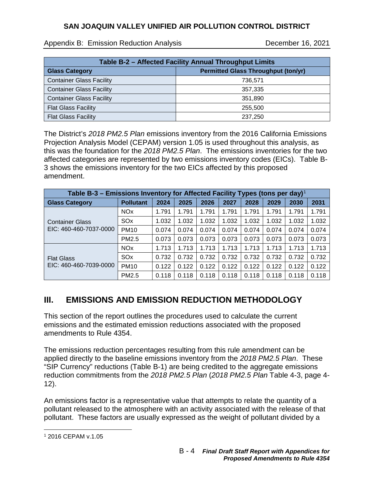Appendix B: Emission Reduction Analysis **December 16, 2021** 

<span id="page-3-1"></span>

| Table B-2 - Affected Facility Annual Throughput Limits |                                            |  |  |  |  |  |
|--------------------------------------------------------|--------------------------------------------|--|--|--|--|--|
| <b>Glass Category</b>                                  | <b>Permitted Glass Throughput (ton/yr)</b> |  |  |  |  |  |
| <b>Container Glass Facility</b>                        | 736,571                                    |  |  |  |  |  |
| <b>Container Glass Facility</b>                        | 357,335                                    |  |  |  |  |  |
| <b>Container Glass Facility</b>                        | 351,890                                    |  |  |  |  |  |
| <b>Flat Glass Facility</b>                             | 255,500                                    |  |  |  |  |  |
| <b>Flat Glass Facility</b>                             | 237,250                                    |  |  |  |  |  |

The District's *2018 PM2.5 Plan* emissions inventory from the 2016 California Emissions Projection Analysis Model (CEPAM) version 1.05 is used throughout this analysis, as this was the foundation for the *2018 PM2.5 Plan*. The emissions inventories for the two affected categories are represented by two emissions inventory codes (EICs). [Table](#page-3-2) B-[3](#page-3-2) shows the emissions inventory for the two EICs affected by this proposed amendment.

<span id="page-3-2"></span>

| Table B-3 – Emissions Inventory for Affected Facility Types (tons per day) <sup>1</sup> |                       |       |       |       |       |       |       |       |       |
|-----------------------------------------------------------------------------------------|-----------------------|-------|-------|-------|-------|-------|-------|-------|-------|
| <b>Glass Category</b>                                                                   | <b>Pollutant</b>      | 2024  | 2025  | 2026  | 2027  | 2028  | 2029  | 2030  | 2031  |
| <b>Container Glass</b><br>EIC: 460-460-7037-0000                                        | <b>NO<sub>x</sub></b> | 1.791 | 1.791 | 1.791 | 1.791 | 1.791 | 1.791 | 1.791 | 1.791 |
|                                                                                         | SO <sub>x</sub>       | 1.032 | 1.032 | 1.032 | 1.032 | 1.032 | 1.032 | 1.032 | 1.032 |
|                                                                                         | <b>PM10</b>           | 0.074 | 0.074 | 0.074 | 0.074 | 0.074 | 0.074 | 0.074 | 0.074 |
|                                                                                         | PM2.5                 | 0.073 | 0.073 | 0.073 | 0.073 | 0.073 | 0.073 | 0.073 | 0.073 |
|                                                                                         | <b>NO<sub>x</sub></b> | 1.713 | 1.713 | 1.713 | 1.713 | 1.713 | 1.713 | 1.713 | 1.713 |
| <b>Flat Glass</b>                                                                       | SO <sub>x</sub>       | 0.732 | 0.732 | 0.732 | 0.732 | 0.732 | 0.732 | 0.732 | 0.732 |
| EIC: 460-460-7039-0000                                                                  | <b>PM10</b>           | 0.122 | 0.122 | 0.122 | 0.122 | 0.122 | 0.122 | 0.122 | 0.122 |
|                                                                                         | PM2.5                 | 0.118 | 0.118 | 0.118 | 0.118 | 0.118 | 0.118 | 0.118 | 0.118 |

## <span id="page-3-0"></span>**III. EMISSIONS AND EMISSION REDUCTION METHODOLOGY**

This section of the report outlines the procedures used to calculate the current emissions and the estimated emission reductions associated with the proposed amendments to Rule 4354.

The emissions reduction percentages resulting from this rule amendment can be applied directly to the baseline emissions inventory from the *2018 PM2.5 Plan*. These "SIP Currency" reductions (Table B-1) are being credited to the aggregate emissions reduction commitments from the *2018 PM2.5 Plan* (*2018 PM2.5 Plan* Table 4-3, page 4- 12).

An emissions factor is a representative value that attempts to relate the quantity of a pollutant released to the atmosphere with an activity associated with the release of that pollutant. These factors are usually expressed as the weight of pollutant divided by a

<span id="page-3-3"></span> <sup>1</sup> 2016 CEPAM v.1.05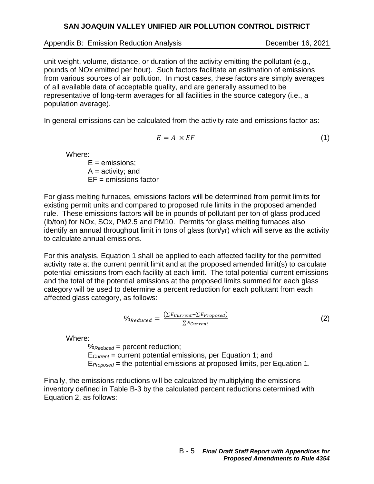Appendix B: Emission Reduction Analysis **December 16, 2021** 

unit weight, volume, distance, or duration of the activity emitting the pollutant (e.g., pounds of NOx emitted per hour). Such factors facilitate an estimation of emissions from various sources of air pollution. In most cases, these factors are simply averages of all available data of acceptable quality, and are generally assumed to be representative of long-term averages for all facilities in the source category (i.e., a population average).

In general emissions can be calculated from the activity rate and emissions factor as:

$$
E = A \times EF \tag{1}
$$

Where:

 $E =$ emissions:  $A =$  activity; and  $EF =$  emissions factor

For glass melting furnaces, emissions factors will be determined from permit limits for existing permit units and compared to proposed rule limits in the proposed amended rule. These emissions factors will be in pounds of pollutant per ton of glass produced (lb/ton) for NOx, SOx, PM2.5 and PM10. Permits for glass melting furnaces also identify an annual throughput limit in tons of glass (ton/yr) which will serve as the activity to calculate annual emissions.

For this analysis, Equation 1 shall be applied to each affected facility for the permitted activity rate at the current permit limit and at the proposed amended limit(s) to calculate potential emissions from each facility at each limit. The total potential current emissions and the total of the potential emissions at the proposed limits summed for each glass category will be used to determine a percent reduction for each pollutant from each affected glass category, as follows:

$$
\%Reduced = \frac{(\Sigma E_{Current} - \Sigma E_{Proposed})}{\Sigma E_{current}}
$$
 (2)

Where:

%*Reduced* = percent reduction; E*Current* = current potential emissions, per Equation 1; and E*Proposed* = the potential emissions at proposed limits, per Equation 1.

Finally, the emissions reductions will be calculated by multiplying the emissions inventory defined in Table B-3 by the calculated percent reductions determined with Equation 2, as follows: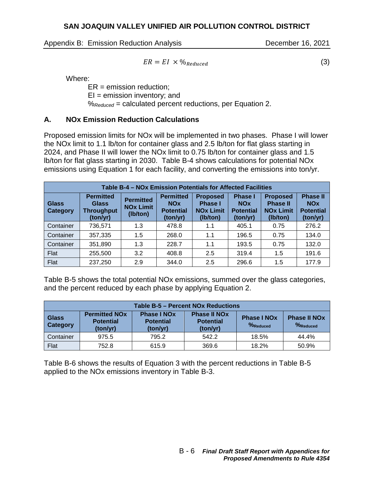Appendix B: Emission Reduction Analysis **December 16, 2021** 

$$
ER = EI \times \%_{Reduced} \tag{3}
$$

Where:

ER = emission reduction;  $EI =$  emission inventory; and %*Reduced* = calculated percent reductions, per Equation 2.

#### **A. NOx Emission Reduction Calculations**

Proposed emission limits for NOx will be implemented in two phases. Phase I will lower the NOx limit to 1.1 lb/ton for container glass and 2.5 lb/ton for flat glass starting in 2024, and Phase II will lower the NOx limit to 0.75 lb/ton for container glass and 1.5 lb/ton for flat glass starting in 2030. [Table](#page-5-0) B-4 shows calculations for potential NOx emissions using Equation 1 for each facility, and converting the emissions into ton/yr.

<span id="page-5-0"></span>

|                          | Table B-4 – NOx Emission Potentials for Affected Facilities       |                                                  |                                                                |                                                                              |                                                              |                                                                               |                                                               |  |  |  |  |
|--------------------------|-------------------------------------------------------------------|--------------------------------------------------|----------------------------------------------------------------|------------------------------------------------------------------------------|--------------------------------------------------------------|-------------------------------------------------------------------------------|---------------------------------------------------------------|--|--|--|--|
| <b>Glass</b><br>Category | <b>Permitted</b><br><b>Glass</b><br><b>Throughput</b><br>(ton/yr) | <b>Permitted</b><br><b>NOx Limit</b><br>(Ib/ton) | <b>Permitted</b><br><b>NOx</b><br><b>Potential</b><br>(ton/yr) | <b>Proposed</b><br><b>Phase I</b><br><b>NO<sub>x</sub></b> Limit<br>(lb/ton) | <b>Phase I</b><br><b>NOx</b><br><b>Potential</b><br>(ton/yr) | <b>Proposed</b><br><b>Phase II</b><br><b>NO<sub>x</sub></b> Limit<br>(Ib/ton) | <b>Phase II</b><br><b>NOx</b><br><b>Potential</b><br>(ton/yr) |  |  |  |  |
| Container                | 736,571                                                           | 1.3                                              | 478.8                                                          | 1.1                                                                          | 405.1                                                        | 0.75                                                                          | 276.2                                                         |  |  |  |  |
| Container                | 357,335                                                           | 1.5                                              | 268.0                                                          | 1.1                                                                          | 196.5                                                        | 0.75                                                                          | 134.0                                                         |  |  |  |  |
| Container                | 351,890                                                           | 1.3                                              | 228.7                                                          | 1.1                                                                          | 193.5                                                        | 0.75                                                                          | 132.0                                                         |  |  |  |  |
| Flat                     | 255,500                                                           | 3.2                                              | 408.8                                                          | 2.5                                                                          | 319.4                                                        | 1.5                                                                           | 191.6                                                         |  |  |  |  |
| Flat                     | 237,250                                                           | 2.9                                              | 344.0                                                          | 2.5                                                                          | 296.6                                                        | 1.5                                                                           | 177.9                                                         |  |  |  |  |

[Table](#page-5-1) B-5 shows the total potential NOx emissions, summed over the glass categories, and the percent reduced by each phase by applying Equation 2.

<span id="page-5-1"></span>

| <b>Table B-5 - Percent NOx Reductions</b> |                                                      |                                                    |                                                     |                                |                                 |  |  |  |  |
|-------------------------------------------|------------------------------------------------------|----------------------------------------------------|-----------------------------------------------------|--------------------------------|---------------------------------|--|--|--|--|
| <b>Glass</b><br>Category                  | <b>Permitted NOx</b><br><b>Potential</b><br>(ton/yr) | <b>Phase I NOx</b><br><b>Potential</b><br>(ton/yr) | <b>Phase II NOx</b><br><b>Potential</b><br>(ton/yr) | <b>Phase I NOx</b><br>%Reduced | <b>Phase II NOx</b><br>%Reduced |  |  |  |  |
| Container                                 | 975.5                                                | 795.2                                              | 542.2                                               | 18.5%                          | 44.4%                           |  |  |  |  |
| Flat                                      | 752.8                                                | 615.9                                              | 369.6                                               | 18.2%                          | 50.9%                           |  |  |  |  |

[Table](#page-6-0) B-6 shows the results of Equation 3 with the percent reductions in [Table](#page-5-1) B-5 applied to the NOx emissions inventory in [Table](#page-3-2) B-3.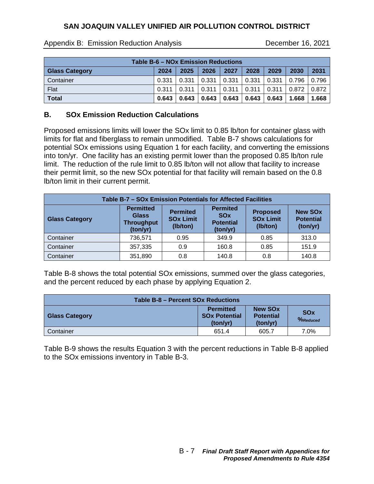<span id="page-6-0"></span>

| Table B-6 - NOx Emission Reductions                                                   |       |       |       |       |                             |         |       |       |
|---------------------------------------------------------------------------------------|-------|-------|-------|-------|-----------------------------|---------|-------|-------|
| 2031<br>2029<br>2030<br><b>Glass Category</b><br>2025<br>2026<br>2027<br>2028<br>2024 |       |       |       |       |                             |         |       |       |
| Container                                                                             | 0.331 | 0.331 | 0.331 | 0.331 | 0.331                       | 0.331   | 0.796 | 0.796 |
| Flat                                                                                  | 0.311 | 0.311 | 0.311 |       | $0.311 \pm 0.311 \pm 0.311$ | $0.311$ | 0.872 | 0.872 |
| Total                                                                                 | 0.643 | 0.643 | 0.643 | 0.643 | 0.643                       | 0.643   | 1.668 | 1.668 |

Appendix B: Emission Reduction Analysis **December 16, 2021** 

### **B. SOx Emission Reduction Calculations**

Proposed emissions limits will lower the SOx limit to 0.85 lb/ton for container glass with limits for flat and fiberglass to remain unmodified. [Table](#page-6-1) B-7 shows calculations for potential SOx emissions using Equation 1 for each facility, and converting the emissions into ton/yr. One facility has an existing permit lower than the proposed 0.85 lb/ton rule limit. The reduction of the rule limit to 0.85 lb/ton will not allow that facility to increase their permit limit, so the new SOx potential for that facility will remain based on the 0.8 lb/ton limit in their current permit.

<span id="page-6-1"></span>

| Table B-7 - SOx Emission Potentials for Affected Facilities |                                                                   |                                                 |                                                               |                                                 |                                                |  |  |  |
|-------------------------------------------------------------|-------------------------------------------------------------------|-------------------------------------------------|---------------------------------------------------------------|-------------------------------------------------|------------------------------------------------|--|--|--|
| <b>Glass Category</b>                                       | <b>Permitted</b><br><b>Glass</b><br><b>Throughput</b><br>(ton/yr) | <b>Permited</b><br><b>SOx Limit</b><br>(Ib/ton) | <b>Permited</b><br><b>SOx</b><br><b>Potential</b><br>(ton/yr) | <b>Proposed</b><br><b>SOx Limit</b><br>(Ib/ton) | <b>New SOx</b><br><b>Potential</b><br>(ton/yr) |  |  |  |
| Container                                                   | 736,571                                                           | 0.95                                            | 349.9                                                         | 0.85                                            | 313.0                                          |  |  |  |
| Container                                                   | 357,335                                                           | 0.9                                             | 160.8                                                         | 0.85                                            | 151.9                                          |  |  |  |
| Container                                                   | 351,890                                                           | 0.8                                             | 140.8                                                         | 0.8                                             | 140.8                                          |  |  |  |

[Table](#page-6-2) B-8 shows the total potential SOx emissions, summed over the glass categories, and the percent reduced by each phase by applying Equation 2.

<span id="page-6-2"></span>

| Table B-8 - Percent SOx Reductions |                                                      |                                                |                           |  |  |  |  |  |
|------------------------------------|------------------------------------------------------|------------------------------------------------|---------------------------|--|--|--|--|--|
| <b>Glass Category</b>              | <b>Permitted</b><br><b>SOx Potential</b><br>(ton/yr) | <b>New SOx</b><br><b>Potential</b><br>(ton/yr) | <b>SOx</b><br>$%$ Reduced |  |  |  |  |  |
| Container                          | 651.4                                                | 605.7                                          | 7.0%                      |  |  |  |  |  |

Table B-9 shows the results Equation 3 with the percent reductions in [Table](#page-6-2) B-8 applied to the SOx emissions inventory in [Table](#page-3-2) B-3.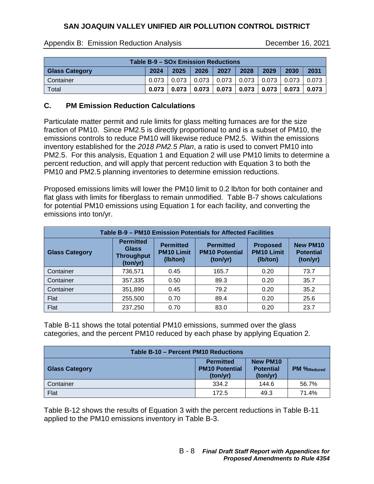| Table B-9 - SOx Emission Reductions                                           |       |       |       |             |                                                         |              |       |       |  |
|-------------------------------------------------------------------------------|-------|-------|-------|-------------|---------------------------------------------------------|--------------|-------|-------|--|
| 2029<br>2030<br>2027<br>2028<br>2026<br>2025<br><b>Glass Category</b><br>2024 |       |       |       |             |                                                         |              | 2031  |       |  |
| Container                                                                     |       |       |       |             | $0.073$   0.073   0.073   0.073   0.073   0.073   0.073 |              |       | 0.073 |  |
| Total                                                                         | 0.073 | 0.073 | 0.073 | 0.073 0.073 |                                                         | $\mid$ 0.073 | 0.073 | 0.073 |  |

Appendix B: Emission Reduction Analysis **December 16, 2021** 

### **C. PM Emission Reduction Calculations**

Particulate matter permit and rule limits for glass melting furnaces are for the size fraction of PM10. Since PM2.5 is directly proportional to and is a subset of PM10, the emissions controls to reduce PM10 will likewise reduce PM2.5. Within the emissions inventory established for the *2018 PM2.5 Plan*, a ratio is used to convert PM10 into PM2.5. For this analysis, Equation 1 and Equation 2 will use PM10 limits to determine a percent reduction, and will apply that percent reduction with Equation 3 to both the PM10 and PM2.5 planning inventories to determine emission reductions.

Proposed emissions limits will lower the PM10 limit to 0.2 lb/ton for both container and flat glass with limits for fiberglass to remain unmodified. [Table](#page-6-1) B-7 shows calculations for potential PM10 emissions using Equation 1 for each facility, and converting the emissions into ton/yr.

| Table B-9 - PM10 Emission Potentials for Affected Facilities |                                                                   |                                                   |                                                       |                                                  |                                                 |  |  |  |  |
|--------------------------------------------------------------|-------------------------------------------------------------------|---------------------------------------------------|-------------------------------------------------------|--------------------------------------------------|-------------------------------------------------|--|--|--|--|
| <b>Glass Category</b>                                        | <b>Permitted</b><br><b>Glass</b><br><b>Throughput</b><br>(ton/yr) | <b>Permitted</b><br><b>PM10 Limit</b><br>(Ib/ton) | <b>Permitted</b><br><b>PM10 Potential</b><br>(ton/yr) | <b>Proposed</b><br><b>PM10 Limit</b><br>(Ib/ton) | <b>New PM10</b><br><b>Potential</b><br>(ton/yr) |  |  |  |  |
| Container                                                    | 736,571                                                           | 0.45                                              | 165.7                                                 | 0.20                                             | 73.7                                            |  |  |  |  |
| Container                                                    | 357,335                                                           | 0.50                                              | 89.3                                                  | 0.20                                             | 35.7                                            |  |  |  |  |
| Container                                                    | 351,890                                                           | 0.45                                              | 79.2                                                  | 0.20                                             | 35.2                                            |  |  |  |  |
| Flat                                                         | 255,500                                                           | 0.70                                              | 89.4                                                  | 0.20                                             | 25.6                                            |  |  |  |  |
| Flat                                                         | 237,250                                                           | 0.70                                              | 83.0                                                  | 0.20                                             | 23.7                                            |  |  |  |  |

[Table](#page-7-0) B-11 shows the total potential PM10 emissions, summed over the glass categories, and the percent PM10 reduced by each phase by applying Equation 2.

<span id="page-7-0"></span>

| Table B-10 - Percent PM10 Reductions |                                                       |                                                 |                    |  |  |  |  |
|--------------------------------------|-------------------------------------------------------|-------------------------------------------------|--------------------|--|--|--|--|
| <b>Glass Category</b>                | <b>Permitted</b><br><b>PM10 Potential</b><br>(ton/yr) | <b>New PM10</b><br><b>Potential</b><br>(ton/yr) | <b>PM</b> %Reduced |  |  |  |  |
| Container                            | 334.2                                                 | 144.6                                           | 56.7%              |  |  |  |  |
| Flat                                 | 172.5                                                 | 49.3                                            | 71.4%              |  |  |  |  |

[Table](#page-8-0) B-12 shows the results of Equation 3 with the percent reductions in [Table](#page-7-0) B-11 applied to the PM10 emissions inventory in [Table](#page-3-2) B-3.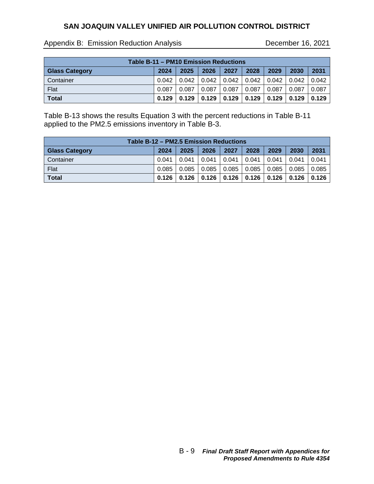#### Appendix B: Emission Reduction Analysis **December 16, 2021**

<span id="page-8-0"></span>

| <b>Table B-11 - PM10 Emission Reductions</b>                                          |       |       |       |       |       |       |       |       |  |
|---------------------------------------------------------------------------------------|-------|-------|-------|-------|-------|-------|-------|-------|--|
| 2031<br>2029<br>2030<br>2025<br>2024<br>2026<br>2027<br>2028<br><b>Glass Category</b> |       |       |       |       |       |       |       |       |  |
| Container                                                                             | 0.042 | 0.042 | 0.042 | 0.042 | 0.042 | 0.042 | 0.042 | 0.042 |  |
| Flat                                                                                  | 0.087 | 0.087 | 0.087 | 0.087 | 0.087 | 0.087 | 0.087 | 0.087 |  |
| <b>Total</b>                                                                          | 0.129 | 0.129 | 0.129 | 0.129 | 0.129 | 0.129 | 0.129 | 0.129 |  |

[Table](#page-8-1) B-13 shows the results Equation 3 with the percent reductions in [Table](#page-7-0) B-11 applied to the PM2.5 emissions inventory in [Table](#page-3-2) B-3.

<span id="page-8-1"></span>

| Table B-12 - PM2.5 Emission Reductions |       |       |       |       |       |       |       |       |
|----------------------------------------|-------|-------|-------|-------|-------|-------|-------|-------|
| <b>Glass Category</b>                  | 2024  | 2025  | 2026  | 2027  | 2028  | 2029  | 2030  | 2031  |
| Container                              | 0.041 | 0.041 | 0.041 | 0.041 | 0.041 | 0.041 | 0.041 | 0.041 |
| Flat                                   | 0.085 | 0.085 | 0.085 | 0.085 | 0.085 | 0.085 | 0.085 | 0.085 |
| <b>Total</b>                           | 0.126 | 0.126 | 0.126 | 0.126 | 0.126 | 0.126 | 0.126 | 0.126 |